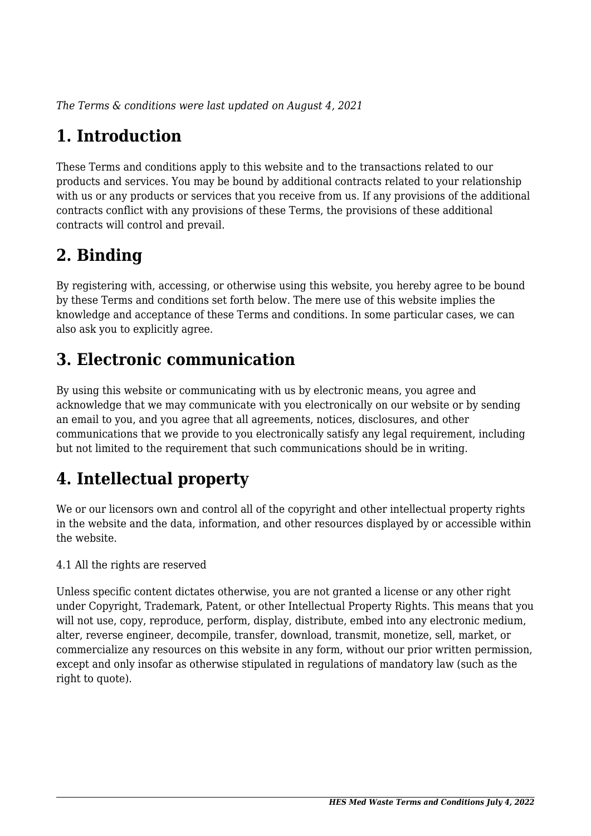*The Terms & conditions were last updated on August 4, 2021*

## **1. Introduction**

These Terms and conditions apply to this website and to the transactions related to our products and services. You may be bound by additional contracts related to your relationship with us or any products or services that you receive from us. If any provisions of the additional contracts conflict with any provisions of these Terms, the provisions of these additional contracts will control and prevail.

## **2. Binding**

By registering with, accessing, or otherwise using this website, you hereby agree to be bound by these Terms and conditions set forth below. The mere use of this website implies the knowledge and acceptance of these Terms and conditions. In some particular cases, we can also ask you to explicitly agree.

## **3. Electronic communication**

By using this website or communicating with us by electronic means, you agree and acknowledge that we may communicate with you electronically on our website or by sending an email to you, and you agree that all agreements, notices, disclosures, and other communications that we provide to you electronically satisfy any legal requirement, including but not limited to the requirement that such communications should be in writing.

## **4. Intellectual property**

We or our licensors own and control all of the copyright and other intellectual property rights in the website and the data, information, and other resources displayed by or accessible within the website.

4.1 All the rights are reserved

Unless specific content dictates otherwise, you are not granted a license or any other right under Copyright, Trademark, Patent, or other Intellectual Property Rights. This means that you will not use, copy, reproduce, perform, display, distribute, embed into any electronic medium, alter, reverse engineer, decompile, transfer, download, transmit, monetize, sell, market, or commercialize any resources on this website in any form, without our prior written permission, except and only insofar as otherwise stipulated in regulations of mandatory law (such as the right to quote).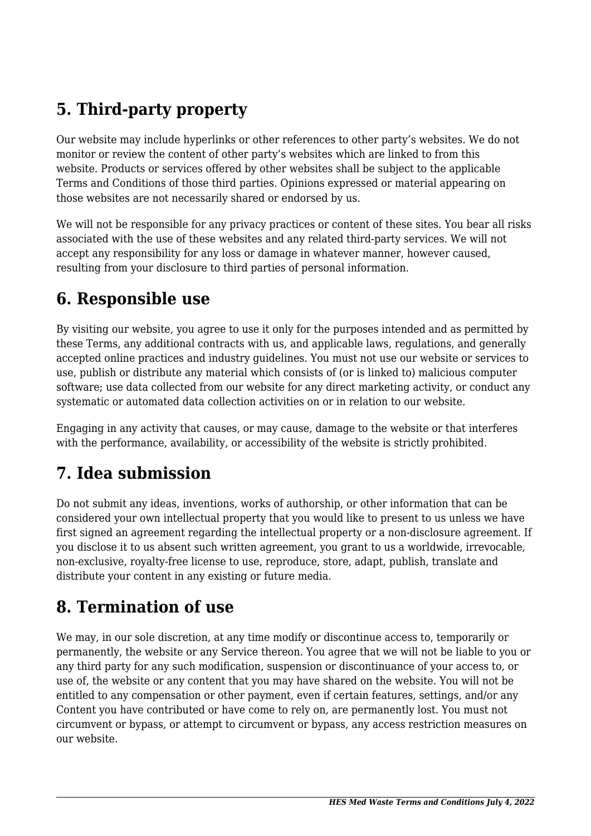## **5. Third-party property**

Our website may include hyperlinks or other references to other party's websites. We do not monitor or review the content of other party's websites which are linked to from this website. Products or services offered by other websites shall be subject to the applicable Terms and Conditions of those third parties. Opinions expressed or material appearing on those websites are not necessarily shared or endorsed by us.

We will not be responsible for any privacy practices or content of these sites. You bear all risks associated with the use of these websites and any related third-party services. We will not accept any responsibility for any loss or damage in whatever manner, however caused, resulting from your disclosure to third parties of personal information.

#### **6. Responsible use**

By visiting our website, you agree to use it only for the purposes intended and as permitted by these Terms, any additional contracts with us, and applicable laws, regulations, and generally accepted online practices and industry guidelines. You must not use our website or services to use, publish or distribute any material which consists of (or is linked to) malicious computer software; use data collected from our website for any direct marketing activity, or conduct any systematic or automated data collection activities on or in relation to our website.

Engaging in any activity that causes, or may cause, damage to the website or that interferes with the performance, availability, or accessibility of the website is strictly prohibited.

### **7. Idea submission**

Do not submit any ideas, inventions, works of authorship, or other information that can be considered your own intellectual property that you would like to present to us unless we have first signed an agreement regarding the intellectual property or a non-disclosure agreement. If you disclose it to us absent such written agreement, you grant to us a worldwide, irrevocable, non-exclusive, royalty-free license to use, reproduce, store, adapt, publish, translate and distribute your content in any existing or future media.

#### **8. Termination of use**

We may, in our sole discretion, at any time modify or discontinue access to, temporarily or permanently, the website or any Service thereon. You agree that we will not be liable to you or any third party for any such modification, suspension or discontinuance of your access to, or use of, the website or any content that you may have shared on the website. You will not be entitled to any compensation or other payment, even if certain features, settings, and/or any Content you have contributed or have come to rely on, are permanently lost. You must not circumvent or bypass, or attempt to circumvent or bypass, any access restriction measures on our website.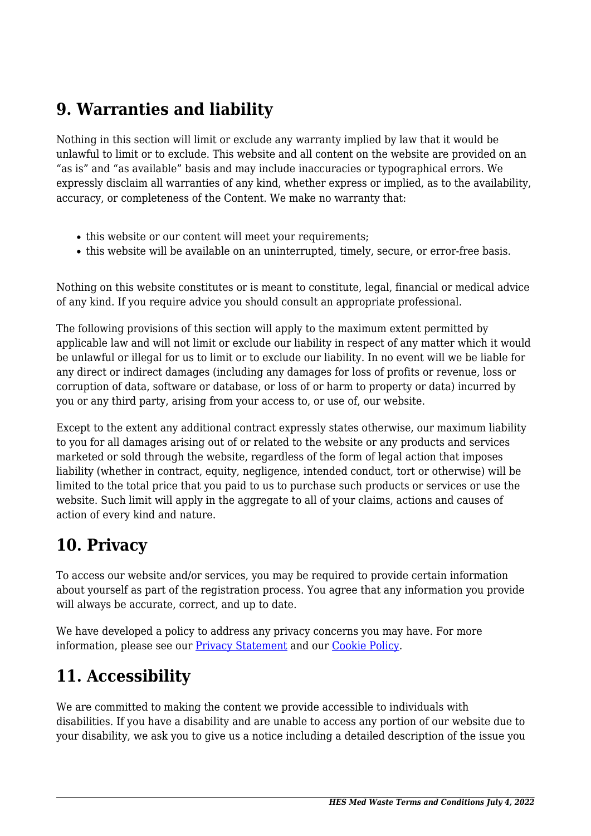### **9. Warranties and liability**

Nothing in this section will limit or exclude any warranty implied by law that it would be unlawful to limit or to exclude. This website and all content on the website are provided on an "as is" and "as available" basis and may include inaccuracies or typographical errors. We expressly disclaim all warranties of any kind, whether express or implied, as to the availability, accuracy, or completeness of the Content. We make no warranty that:

- this website or our content will meet your requirements;
- this website will be available on an uninterrupted, timely, secure, or error-free basis.

Nothing on this website constitutes or is meant to constitute, legal, financial or medical advice of any kind. If you require advice you should consult an appropriate professional.

The following provisions of this section will apply to the maximum extent permitted by applicable law and will not limit or exclude our liability in respect of any matter which it would be unlawful or illegal for us to limit or to exclude our liability. In no event will we be liable for any direct or indirect damages (including any damages for loss of profits or revenue, loss or corruption of data, software or database, or loss of or harm to property or data) incurred by you or any third party, arising from your access to, or use of, our website.

Except to the extent any additional contract expressly states otherwise, our maximum liability to you for all damages arising out of or related to the website or any products and services marketed or sold through the website, regardless of the form of legal action that imposes liability (whether in contract, equity, negligence, intended conduct, tort or otherwise) will be limited to the total price that you paid to us to purchase such products or services or use the website. Such limit will apply in the aggregate to all of your claims, actions and causes of action of every kind and nature.

#### **10. Privacy**

To access our website and/or services, you may be required to provide certain information about yourself as part of the registration process. You agree that any information you provide will always be accurate, correct, and up to date.

We have developed a policy to address any privacy concerns you may have. For more information, please see our **Privacy Statement** and our Cookie Policy.

## **11. Accessibility**

We are committed to making the content we provide accessible to individuals with disabilities. If you have a disability and are unable to access any portion of our website due to your disability, we ask you to give us a notice including a detailed description of the issue you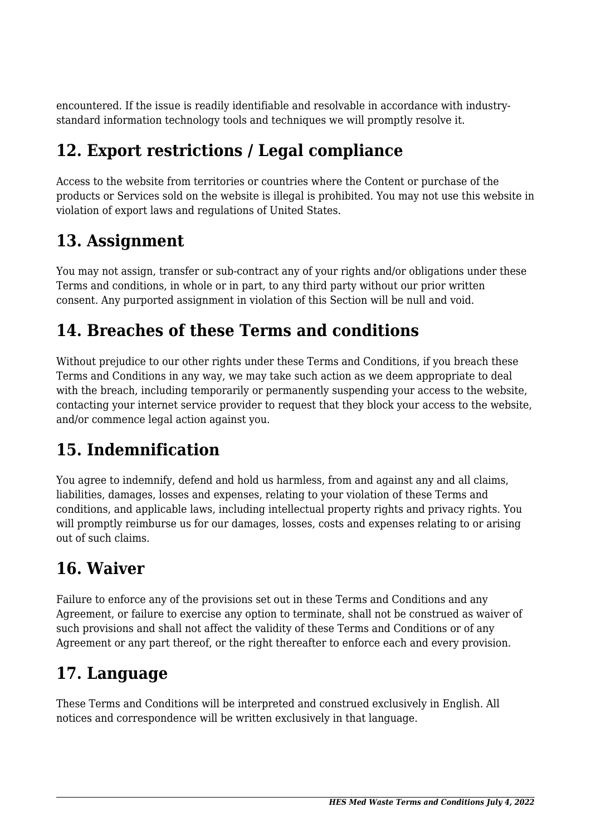encountered. If the issue is readily identifiable and resolvable in accordance with industrystandard information technology tools and techniques we will promptly resolve it.

## **12. Export restrictions / Legal compliance**

Access to the website from territories or countries where the Content or purchase of the products or Services sold on the website is illegal is prohibited. You may not use this website in violation of export laws and regulations of United States.

### **13. Assignment**

You may not assign, transfer or sub-contract any of your rights and/or obligations under these Terms and conditions, in whole or in part, to any third party without our prior written consent. Any purported assignment in violation of this Section will be null and void.

### **14. Breaches of these Terms and conditions**

Without prejudice to our other rights under these Terms and Conditions, if you breach these Terms and Conditions in any way, we may take such action as we deem appropriate to deal with the breach, including temporarily or permanently suspending your access to the website, contacting your internet service provider to request that they block your access to the website, and/or commence legal action against you.

# **15. Indemnification**

You agree to indemnify, defend and hold us harmless, from and against any and all claims, liabilities, damages, losses and expenses, relating to your violation of these Terms and conditions, and applicable laws, including intellectual property rights and privacy rights. You will promptly reimburse us for our damages, losses, costs and expenses relating to or arising out of such claims.

### **16. Waiver**

Failure to enforce any of the provisions set out in these Terms and Conditions and any Agreement, or failure to exercise any option to terminate, shall not be construed as waiver of such provisions and shall not affect the validity of these Terms and Conditions or of any Agreement or any part thereof, or the right thereafter to enforce each and every provision.

### **17. Language**

These Terms and Conditions will be interpreted and construed exclusively in English. All notices and correspondence will be written exclusively in that language.